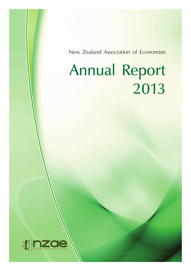# Annual Report 2013

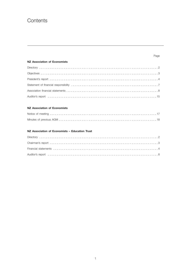### **Contents**

### **NZ Association of Economists**

### **NZ Association of Economists**

### **NZ Association of Economists – Education Trust**

### Page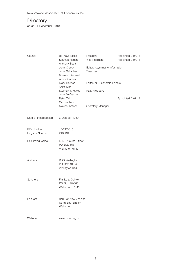# **Directory**

as at 31 December 2013

| Council                              | Bill Kaye-Blake<br>Seamus Hogan<br>Anthony Byett<br>John Creedy<br>John Gallagher<br>Norman Gemmell<br>Arthur Grimes | President<br>Appointed 3.07.13<br>Vice President<br>Appointed 3.07.13<br>Editor, Asymmetric Information<br>Treasurer |                   |  |
|--------------------------------------|----------------------------------------------------------------------------------------------------------------------|----------------------------------------------------------------------------------------------------------------------|-------------------|--|
|                                      | Mark Holmes<br>Anita King                                                                                            | Editor, NZ Economic Papers                                                                                           |                   |  |
|                                      | Stephen Knowles<br>John McDermott<br>Peter Tait<br>Gail Pacheco<br>Maxine Watene                                     | Past President<br>Secretary Manager                                                                                  | Appointed 3.07.13 |  |
| Date of Incorporation                | 6 October 1959                                                                                                       |                                                                                                                      |                   |  |
| <b>IRD Number</b><br>Registry Number | 16-217-315<br>216 494                                                                                                |                                                                                                                      |                   |  |
| Registered Office                    | F/1. 97 Cuba Street<br>PO Box 568<br>Wellington 6140                                                                 |                                                                                                                      |                   |  |
| Auditors                             | <b>BDO</b> Wellington<br>PO Box 10-340<br>Wellington 6143                                                            |                                                                                                                      |                   |  |
| Solicitors                           | Franks & Ogilvie<br>PO Box 10-388<br>Wellington 6143                                                                 |                                                                                                                      |                   |  |
| <b>Bankers</b>                       | Bank of New Zealand<br>North End Branch<br>Wellington                                                                |                                                                                                                      |                   |  |
| Website                              | www.nzae.org.nz                                                                                                      |                                                                                                                      |                   |  |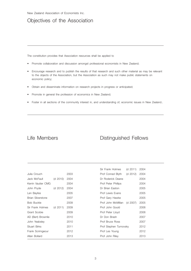### Objectives of the Association

The constitution provides that Association resources shall be applied to

- Promote collaboration and discussion amongst professional economists in New Zealand;
- Encourage research and to publish the results of that research and such other material as may be relevant to the objects of the Association, but the Association as such may not make public statements on economic policy;
- Obtain and disseminate information on research projects in progress or anticipated;
- Promote in general the profession of economics in New Zealand;
- • Foster in all sections of the community interest in, and understanding of, economic issues in New Zealand..

### Life Members **Distinguished Fellows**

|                          |          |      | Sir Frank Holmes       | (d 2011) | 2004 |
|--------------------------|----------|------|------------------------|----------|------|
| Julia Crouch             |          | 2003 | Prof Conrad Blyth      | (d 2012) | 2004 |
| Jack McFaull             | (d 2010) | 2004 | Dr Roderick Deane      |          | 2004 |
| Kerrin Vautier CMG       |          | 2004 | Prof Peter Phillips    |          | 2004 |
| John Pryde               | (d 2012) | 2004 | Dr Brian Easton        |          | 2005 |
| Len Bayliss              |          | 2005 | Prof Lewis Evans       |          | 2005 |
| <b>Brian Silverstone</b> |          | 2007 | Prof Gary Hawke        |          | 2005 |
| <b>Bob Buckle</b>        |          | 2009 | Prof John McMillan     | (d 2007) | 2005 |
| Sir Frank Holmes         | (d 2011) | 2009 | Prof John Gould        |          | 2006 |
| Grant Scobie             |          | 2009 | Prof Peter Lloyd       |          | 2006 |
| AD (Bert) Brownlie       |          | 2010 | Dr Don Brash           |          | 2007 |
| John Yeabsley            |          | 2010 | Prof Bruce Ross        |          | 2007 |
| <b>Stuart Birks</b>      |          | 2011 | Prof Stephen Turnovsky |          | 2012 |
| Frank Scrimgeour         |          | 2012 | Prof Les Young         |          | 2012 |
| Allan Bollard            |          | 2013 | Prof John Riley        |          | 2013 |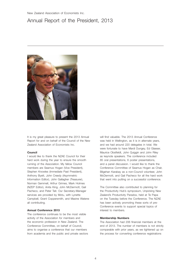### Annual Report of the President, 2013



It is my great pleasure to present the 2013 Annual Report for and on behalf of the Council of the New Zealand Association of Economists Inc.

#### **Council**

I would like to thank the NZAE Council for their hard work during the year to ensure the smooth running of the Association. My fellow Council members are Seamus Hogan (Vice President), Stephen Knowles (Immediate Past President), Anthony Byett, John Creedy (Asymmetric Information Editor), John Gallagher (Treasurer), Norman Gemmell, Arthur Grimes, Mark Holmes (NZEP Editor), Anita King, John McDermott, Gail Pacheco, and Peter Tait. Our Secretary-Manager services are provided by Motu, with Lynette Campbell, Grant Coppersmith, and Maxine Watene all contributing.

#### **Annual Conference 2013**

The conference continues to be the most visible activity of the Association for members and the economic profession in New Zealand. The Conference Committee, on behalf of Council, aims to organise a conference that our members from academia and the public and private sectors will find valuable. The 2013 Annual Conference was held in Wellington, as it is in alternate years, and we had around 220 delegates in total. We were fortunate to have Mardi Dungey, Ed Glaeser, Maurice Obstfeldt, John Quiggin and John Riley as keynote speakers. The conference included 85 oral presentations, 6 poster presentations, and a panel discussion. I would like to thank the Conference Committee of Seamus Hogan as Chair, Bilgehan Karabay as a non-Council volunteer, John McDermott, and Gail Pacheco for all the hard work that went into putting on a successful conference.

The Committee also contributed to planning for the Productivity Hub's symposium, Unpicking New Zealand's Productivity Paradox, held at Te Papa on the Tuesday before the Conference. The NZAE has been actively promoting these sorts of pre-Conference events to support special topics of interest to members.

#### **Membership Numbers**

The Association had 206 financial members at the end of 2013. The number of members is not strictly comparable with prior years, as we tightened up on the process for converting conference registrations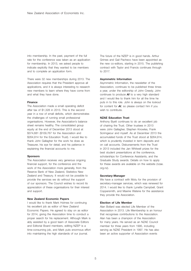into membership. In the past, payment of the full rate for the conference was taken as an application for membership. In 2013, we asked people to indicate explicitly that they wanted to be members and to complete an application form.

There were 32 new memberships during 2013. The Association requires that the President approve all applications, and it is always interesting to research new members to learn where they have come from and what they have done.

### **Finance**

The Association made a small operating deficit after tax of \$1,328 in 2013. This is the second year in a row of small deficits, which demonstrates the challenges of running small professional organisations. However, the Association's balance sheet remains healthy. The consolidated group equity at the end of December 2013 stood at \$374,681 (\$109,767 for the Association and \$264,914 for the Education Trust). I would like to thank John Gallagher for the work he does as Treasurer, his eye for detail, and his patience in explaining the financial accounts to me.

### **Sponsors**

The Association receives very generous ongoing financial support, for the conference and the work of the Association more generally, from the Reserve Bank of New Zealand, Statistics New Zealand and Treasury. It would not be possible to provide the services we do without the support of our sponsors. The Council wishes to record its appreciation of these organisations for their interest and support.

#### **New Zealand Economic Papers**

I would like to thank Mark Holmes for continuing his excellent job as editor of New Zealand Economic Papers. He agreed to stay on as editor for 2014, giving the Association time to conduct a proper search for his replacement. Although Mark is ably assisted by a good team of Associate Editors and Editorial Board members, editing NZEP is a time-consuming job, and Mark puts enormous effort into maintaining the high standards of our journal.

The future of the NZEP is in good hands. Arthur Grimes and Gail Pacheco have been appointed as the new co-editors, starting in 2015. The publishing contract with Taylor and Francis continues through to 2017.

### **Asymmetric Information**

Asymmetric Information, the newsletter of the Association, continues to be published three times a year, under the editorship of John Creedy. John continues to produce *AI* to a very high standard and I would like to thank him for all the time he puts in to this role. John is always on the lookout for content for *AI*, so please contact him if you wish to contribute.

### **NZAE Education Trust**

Anthony Byett continues to do an excellent job of chairing the Trust. Other trustees in 2013 were John Gallagher, Stephen Knowles, Frank Scrimgeour and myself. As at December 2013 the accumulated funds of the Trust stood at \$264,914, which is prudently invested in term deposits and on call accounts. Disbursements from the Trust in 2013 included the Jan Whitwell prizes for the best student presentations at the conference, scholarships for Conference Assistants, and the Graduate Study awards. Details on how to apply for these awards are available on the website (nzae. org.nz).

#### **Secretary-Manager**

We have a contract with Motu for the provision of secretary-manager services, which was renewed for 2014. I would like to thank Lynette Campbell, Grant Coppersmith, and Maxine Watene for the assistance they provide the Association.

### **Election of Life Member**

Alan Bollard was elected Life Member of the Association in 2013. Life Membership is an honour that recognises contributions to the Association. Alan has been a champion of the Association for many years. He served as an NZAE Council member for three years from 1995, including serving as NZAE President in 1997. He has also been an active supporter of Association events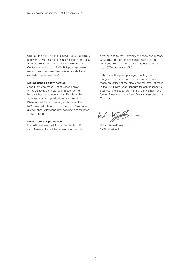while at Treasury and the Reserve Bank. Particularly noteworthy was his role in Chairing the International Advisory Board for the the 2008 NZAE/ESAM Conference in honour of AW Phillips (http://www. nzae.org.nz/nzae-news/life-member/alan-bollardelected-nzae-life-member/).

### **Distinguished Fellow Awards**

John Riley was made Distinguished Fellow of the Association in 2013, in recognition of his contributions to economics. Details on his achievements and publications are given in his Distinguished Fellow citation, available on the NZAE web site (http://www.nzae.org.nz/nzae-news/ distinguished-fellow/john-riley-awarded-distinguishedfellow-of-nzae/).

### **News from the profession**

It is with sadness that I note the death of Prof van Moeseke. He will be remembered for his

contributions to the University of Otago and Massey University, and for his economic analysis of the proposed aluminium smelter at Aramoana in the late 1970s and early 1980s.

I also have the great privilege of noting the recognition of Professor Bob Buckle, who was made an Officer of the New Zealand Order of Merit in the 2014 New Year Honours for contributions to business and education. He is a Life Member and former President of the New Zealand Association of Economists.

 $h + \frac{1}{2}$ 

William Kaye-Blake NZAE President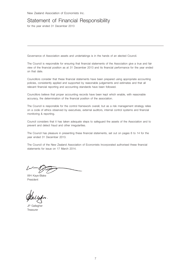### Statement of Financial Responsibility

for the year ended 31 December 2013

Governance of Association assets and undertakings is in the hands of an elected Council.

The Council is responsible for ensuring that financial statements of the Association give a true and fair view of the financial position as at 31 December 2013 and its financial performance for the year ended on that date.

Councillors consider that these financial statements have been prepared using appropriate accounting policies, consistently applied and supported by reasonable judgements and estimates and that all relevant financial reporting and accounting standards have been followed.

Councillors believe that proper accounting records have been kept which enable, with reasonable accuracy, the determination of the financial position of the association.

The Council is responsible for the control framework overall, but as a risk management strategy relies on a code of ethics observed by executives, external auditors, internal control systems and financial monitoring & reporting.

Council considers that it has taken adequate steps to safeguard the assets of the Association and to prevent and detect fraud and other irregularities.

The Council has pleasure in presenting these financial statements, set out on pages 8 to 14 for the year ended 31 December 2013.

The Council of the New Zealand Association of Economists Incorporated authorised these financial statements for issue on 17 March 2014.

WH Kaye-Blake President

JP Gallagher **Treasurer**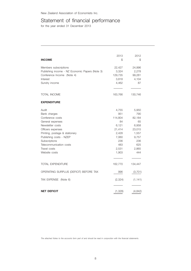### Statement of financial performance

for the year ended 31 December 2013

| <b>INCOME</b>                                                                                                                                                                                                                                    | 2013<br>\$                                                                                         | 2012<br>\$                                                                                      |
|--------------------------------------------------------------------------------------------------------------------------------------------------------------------------------------------------------------------------------------------------|----------------------------------------------------------------------------------------------------|-------------------------------------------------------------------------------------------------|
| Members subscriptions<br>Publishing income - NZ Economic Papers (Note 3)<br>Conference Income (Note 4)<br>Interest<br>Sundry income                                                                                                              | 22,427<br>3,324<br>129,735<br>3,818<br>4,462                                                       | 24,996<br>2,278<br>99,281<br>4,104<br>87                                                        |
| TOTAL INCOME                                                                                                                                                                                                                                     | 163,766                                                                                            | 130,746                                                                                         |
| <b>EXPENDITURE</b>                                                                                                                                                                                                                               |                                                                                                    |                                                                                                 |
| Audit<br>Bank charges<br>Conference costs<br>General expenses<br>Newsletter costs<br>Officers expenses<br>Printing, postage & stationery<br>Publishing costs - NZEP<br>Subscriptions<br>Telecommunication costs<br>Travel costs<br>Website costs | 4,755<br>951<br>114,804<br>84<br>6,121<br>21,414<br>2,428<br>7,060<br>236<br>483<br>2,531<br>1,903 | 5,950<br>790<br>82,184<br>65<br>6,958<br>23,015<br>1,557<br>9,757<br>236<br>625<br>2,865<br>444 |
| TOTAL EXPENDITURE                                                                                                                                                                                                                                | 162,770                                                                                            | 134,447                                                                                         |
| OPERATING SURPLUS (DEFICIT) BEFORE TAX                                                                                                                                                                                                           | 996                                                                                                | (3,701)                                                                                         |
| TAX EXPENSE (Note 6)                                                                                                                                                                                                                             | (2, 324)                                                                                           | (1, 141)                                                                                        |
| <b>NET DEFICIT</b>                                                                                                                                                                                                                               | (1, 328)                                                                                           | (4, 842)                                                                                        |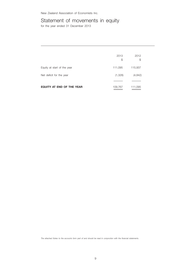## Statement of movements in equity

for the year ended 31 December 2013

|                             | 2013<br>S | 2012<br>\$ |  |
|-----------------------------|-----------|------------|--|
| Equity at start of the year | 111,095   | 115,937    |  |
| Net deficit for the year    | (1,328)   | (4, 842)   |  |
|                             |           |            |  |
| EQUITY AT END OF THE YEAR   | 109,767   | 111,095    |  |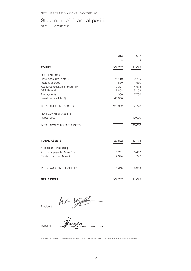### Statement of financial position

as at 31 December 2013

|                                                                                                                                                                                                                       | 2013<br>\$                                                    | 2012<br>\$                                         |
|-----------------------------------------------------------------------------------------------------------------------------------------------------------------------------------------------------------------------|---------------------------------------------------------------|----------------------------------------------------|
| <b>EQUITY</b>                                                                                                                                                                                                         | 109,767                                                       | 111,095                                            |
| <b>CURRENT ASSETS</b><br>Bank accounts (Note 8)<br>Interest accrued<br>Accounts receivable (Note 10)<br><b>GST Refund</b><br>Prepayments<br>Investments (Note 9)<br><b>TOTAL CURRENT ASSETS</b><br>NON CURRENT ASSETS | 71,110<br>530<br>3,324<br>7,858<br>1,000<br>40,000<br>123,822 | 59,755<br>580<br>4,578<br>5,159<br>7,706<br>77,778 |
| Investments                                                                                                                                                                                                           |                                                               | 40,000                                             |
| TOTAL NON CURRENT ASSETS                                                                                                                                                                                              |                                                               | 40,000                                             |
|                                                                                                                                                                                                                       |                                                               |                                                    |
| <b>TOTAL ASSETS</b>                                                                                                                                                                                                   | 123,822                                                       | 117,778                                            |
| <b>CURRENT LIABILITIES</b><br>Accounts payable (Note 11)<br>Provision for tax (Note 7)                                                                                                                                | 11,731<br>2,324                                               | 5,436<br>1,247                                     |
| <b>TOTAL CURRENT LIABILITIES</b>                                                                                                                                                                                      | 14,055                                                        | 6,683                                              |
| <b>NET ASSETS</b>                                                                                                                                                                                                     | 109,767                                                       | 111,095                                            |

President …………………………………………..

Treasurer …………………………………………..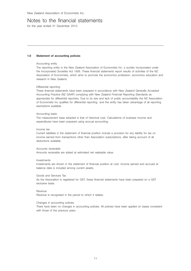### Notes to the financial statements

for the year ended 31 December 2013

### **1.0 Statement of accounting policies**

#### Accounting entity

The reporting entity is the New Zealand Association of Economists Inc, a society incorporated under the Incorporated Societies Act 1908. These financial statements report results of activities of the NZ Association of Economists, which aims to promote the economics profession, economics education and research in New Zealand.

### Differential reporting

These financial statements have been prepared in accordance with New Zealand Generally Accepted Accounting Practice (NZ GAAP) complying with New Zealand Financial Reporting Standards as appropriate for differential reporters. Due to its size and lack of public accountability the NZ Association of Economists Inc qualifies for differential reporting and the entity has taken advantage of all reporting exemptions available.

#### Accounting basis

The measurement base adopted is that of historical cost. Calculations of business income and expenditures have been prepared using accrual accounting.

#### Income tax

Current liabilities in the statement of financial position include a provision for any liability for tax on income earned from transactions other than Association subscriptions, after taking account of all deductions available.

#### Accounts receivable

Amounts receivable are stated at estimated net realisable value.

### Investments

Investments are shown in the statement of financial position at cost. Income earned and accrued at balance date is included among current assets.

#### Goods and Services Tax

As the Association is registered for GST, these financial statements have been prepared on a GST exclusive basis.

#### Revenue

Revenue is recognised in the period to which it relates.

### Changes in accounting policies

There have been no changes in accounting policies. All policies have been applied on bases consistent with those of the previous years.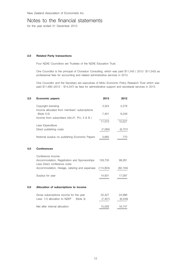### Notes to the financial statements

for the year ended 31 December 2013

### **2.0 Related Party transactions**

Four NZAE Councillors are Trustees of the NZAE Education Trust.

One Councillor is the principal of Cronadun Consulting, which was paid \$11,543 ( 2012- \$11,543) as professional fees for accounting and related administrative services in 2013.

One Councillor and the Secretary are executives of Motu Economic Policy Research Trust which was paid \$11,690 (2012 - \$14,347) as fees for administrative support and secretarial services in 2013.

| 3.0 | <b>Economic papers</b>                                                       | 2013       | 2012      |
|-----|------------------------------------------------------------------------------|------------|-----------|
|     | Copyright licensing                                                          | 3,324      | 2,278     |
|     | Income allocated from members' subscriptions<br>(Note 5.0)                   | 7,401      | 8,249     |
|     | Income from subscribers (Vol.47. Pt.I, II & III)                             | 11,573     | 10,527    |
|     | Less Expenditure                                                             |            |           |
|     | Direct publishing costs                                                      | (7,060)    | (9, 757)  |
|     | Notional surplus on publishing Economic Papers                               | 3,665      | 770       |
| 4.0 | <b>Conferences</b>                                                           |            |           |
|     | Conference income                                                            |            |           |
|     | Accommodation, Registration and Sponsorships<br>Less Direct conference costs | 129,735    | 99,281    |
|     | Accommodation, hireage, catering and expenses                                | (114, 804) | (82, 184) |
|     | Surplus for year                                                             | 14,931     | 17,097    |
| 5.0 | Allocation of subscriptions to income                                        |            |           |
|     | Gross subscriptions income for the year                                      | 22,427     | 24,996    |
|     | Less: 1/3 allocation to NZEP<br>(Note 3)                                     | (7, 401)   | (8, 249)  |
|     | Net after internal allocation                                                | 15,026     | 16,747    |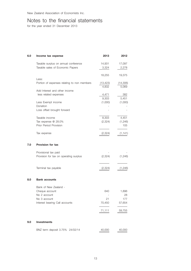### Notes to the financial statements

for the year ended 31 December 2013

| 6.0 | Income tax expense                          | 2013               | 2012              |
|-----|---------------------------------------------|--------------------|-------------------|
|     | Taxable surplus on annual conference        | 14,931             | 17,097            |
|     | Taxable sales of Economic Papers            | 3,324              | 2,278             |
|     |                                             | 18,255             | 19,375            |
|     | Less:                                       |                    |                   |
|     | Portion of expenses relating to non members | (13, 423)<br>4,832 | (14,306)<br>5,069 |
|     | Add Interest and other income               |                    |                   |
|     | less related expenses                       | 4,471              | 382               |
|     |                                             | 9,303              | 5,451             |
|     | Less Exempt income                          | (1,000)            | (1,000)           |
|     | Donation                                    |                    |                   |
|     | Loss offset brought forward                 |                    |                   |
|     | Taxable income                              | 8,303              | 4,451             |
|     | Tax expense @ 28.0%                         | (2,324)            | (1,246)           |
|     | Prior Period Provision                      |                    | 105               |
|     |                                             |                    |                   |
|     | Tax expense                                 | (2,324)            | (1, 141)          |
| 7.0 | <b>Provision for tax</b>                    |                    |                   |
|     | Provisional tax paid                        |                    |                   |
|     | Provision for tax on operating surplus      | (2,324)            | (1,246)           |
|     |                                             |                    |                   |
|     | Terminal tax payable                        | (2,324)            | (1,246)           |
|     |                                             |                    |                   |
| 8.0 | <b>Bank accounts</b>                        |                    |                   |
|     | Bank of New Zealand -                       |                    |                   |
|     | Cheque account                              | 640                | 1,896             |
|     | No 2 account                                |                    | 28                |
|     | No 3 account                                | 21                 | 177               |
|     | Interest bearing Call accounts              | 70,450             | 57,654            |
|     |                                             | 71,111             | 59,755            |
|     |                                             |                    |                   |
| 9.0 | <b>Investments</b>                          |                    |                   |
|     | BNZ term deposit 3.75% 24/02/14             | 40,000             | 40,000            |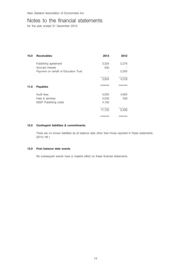### Notes to the financial statements

for the year ended 31 December 2013

| 10.0 | <b>Receivables</b>                       | 2013         | 2012  |
|------|------------------------------------------|--------------|-------|
|      | Publishing agreement<br>Accrued interest | 3,324<br>530 | 2,278 |
|      | Payment on behalf of Education Trust     |              | 2,300 |
|      |                                          | 3,854        | 4,578 |
| 11.0 | <b>Payables</b>                          |              |       |
|      | Audit fees                               | 5,000        | 4,900 |
|      | Fees & services                          | 2,032        | 536   |
|      | NZEP Publishing costs                    | 4,700        |       |
|      |                                          | 11,732       | 5,436 |
|      |                                          |              |       |

### **12.0 Contingent liabilities & commitments**

There are no known liabilities as at balance date other than those reported in these statements. (2012: Nil )

### **13.0 Post balance date events**

No subsequent events have a material effect on these financial statements.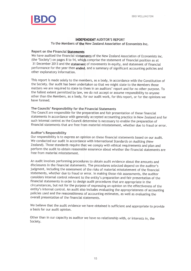

### **INDEPENDENT AUDITOR'S REPORT**

To the Members of the New Zealand Association of Economists Inc.

### Report on the Financial Statements

We have audited the financial statements of the New Zealand Association of Economists Inc. (the 'Society') on pages 8 to 14, which comprise the statement of financial position as at 31 December 2013 and the statement of movements in equity, and statement of financial performance for the year then ended, and a summary of significant accounting policies and other explanatory information.

This report is made solely to the members, as a body, in accordance with the Constitution of the Society. Our audit has been undertaken so that we might state to the Members those matters we are required to state to them in an auditors' report and for no other purpose. To the fullest extent permitted by law, we do not accept or assume responsibility to anyone other than the Members, as a body, for our audit work, for this report, or for the opinions we have formed.

### The Councils' Responsibility for the Financial Statements

The Council are responsible for the preparation and fair presentation of these financial statements in accordance with generally accepted accounting practice in New Zealand and for such internal control as the Council determine is necessary to enable the preparation of financial statements that are free from material misstatement, whether due to fraud or error.

### **Auditor's Responsibility**

Our responsibility is to express an opinion on these financial statements based on our audit. We conducted our audit in accordance with International Standards on Auditing (New Zealand). Those standards require that we comply with ethical requirements and plan and perform the audit to obtain reasonable assurance about whether the financial statements are free from material misstatement.

An audit involves performing procedures to obtain audit evidence about the amounts and disclosures in the financial statements. The procedures selected depend on the auditor's judgment, including the assessment of the risks of material misstatement of the financial statements, whether due to fraud or error. In making those risk assessments, the auditor considers internal control relevant to the entity's preparation and fair presentation of the financial statements in order to design audit procedures that are appropriate in the circumstances, but not for the purpose of expressing an opinion on the effectiveness of the entity's internal control. An audit also includes evaluating the appropriateness of accounting policies used and the reasonableness of accounting estimates, as well as evaluating the overall presentation of the financial statements.

We believe that the audit evidence we have obtained is sufficient and appropriate to provide a basis for our audit opinion.

Other than in our capacity as auditor we have no relationship with, or interests in, the Society.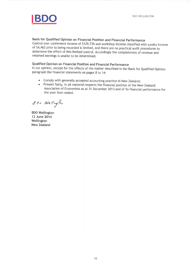

Basis for Qualified Opinion on Financial Position and Financial Performance Control over conference income of \$129,735 and workshop income classified with sundry income of \$4,462 prior to being recorded is limited, and there are no practical audit procedures to determine the effect of this limited control. Accordingly the completeness of revenue and retained earnings is unable to be determined.

### Qualified Opinion on Financial Position and Financial Performance

In our opinion, except for the effects of the matter described in the Basis for Qualified Opinion paragraph the financial statements on pages 8 to 14:

- Comply with generally accepted accounting practice in New Zealand;
- Present fairly, in all material respects the financial position of the New Zealand Association of Economists as at 31 December 2013 and of its financial performance for the year then ended.

800 Wellington

**BDO Wellington** 12 June 2014 Wellington **New Zealand**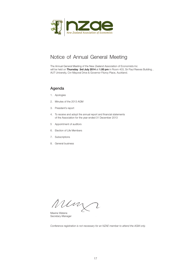

### Notice of Annual General Meeting

The Annual General Meeting of the New Zealand Association of Economists Inc will be held on **Thursday 3rd July 2014** at **1.00 pm** in Room 403, Sir Paul Reeves Building , AUT University, Cnr Mayoral Drive & Governor Fitzroy Place, Auckland.

### Agenda

- 1. Apologies
- 2. Minutes of the 2013 AGM
- 3. President's report
- 4. To receive and adopt the annual report and financial statements of the Association for the year ended 31 December 2013
- 5 Appointment of auditors
- 6. Election of Life Members
- 7. Subscriptions
- 8. General business

Um  $\overline{\mathcal{L}}$ 

Maxine Watene Secretary-Manager

*Conference registration is not necessary for an NZAE member to attend the AGM only.*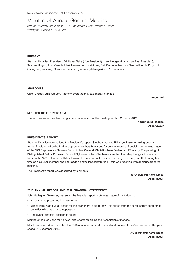### Minutes of Annual General Meeting

*held on Thursday 4th June 2013, at the Amora Hotel, Wakefield Street, Wellington, starting at 12:45 pm.*

### **Present**

Stephen Knowles (President), Bill Kaye-Blake (Vice President), Mary Hedges (Immediate Past President), Seamus Hogan, John Creedy, Mark Holmes, Arthur Grimes, Gail Pacheco, Norman Gemmell, Anita King, John Gallagher (Treasurer), Grant Coppersmith (Secretary-Manager) and 11 members.

**Apologies**

Chris Livesey, Julia Crouch, Anthony Byett, John McDermott, Peter Tait

**Accepted**

### **Minutes of the 2012 AGM**

The minutes were noted as being an accurate record of the meeting held on 28 June 2012.

**A Grimes/M Hedges All in favour**

### **President's report**

Stephen Knowles summarised the President's report. Stephen thanked Bill Kaye-Blake for taking over as Acting President when he had to step down for health reasons for several months. Special mention was made of the NZAE sponsors – Reserve Bank of New Zealand, Statistics New Zealand and Treasury. The passing of Distinguished Fellow Professor Conrad Blyth was noted. Stephen also noted that Mary Hedges finishes her term on the NZAE Council, with her term as Immediate Past President coming to an end, and that during her time as a Council member she had made an excellent contribution – this was received with applause from the meeting.

The President's report was accepted by members.

**S Knowles/B Kaye-Blake All in favour**

### **2013 Annual Report and 2012 Financial Statements**

John Gallagher, Treasurer, presented the financial report. Note was made of the following:

- Amounts are presented in gross terms
- Whist there in an overall deficit for the year, there is tax to pay. This arises from the surplus from conference activities which are taxed separately
- The overall financial position is sound

Members thanked John for his work and efforts regarding the Association's finances.

Members received and adopted the 2013 annual report and financial statements of the Association for the year ended 31 December 2012.

> **J Gallagher/B Kaye-Blake All in favour**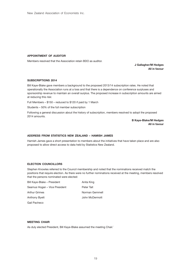### **Appointment of Auditor**

Members resolved that the Association retain BDO as auditor.

**J Gallagher/M Hedges All in favour**

#### **Subscriptions 2014**

Bill Kaye-Blake gave members a background to the proposed 2013/14 subscription rates. He noted that operationally the Association runs at a loss and that there is a dependence on conference surpluses and sponsorship revenue to maintain an overall surplus. The proposed increase in subscription amounts are aimed at reducing this risk:

Full Members – \$150 – reduced to \$120 if paid by 1 March

Students – 50% of the full member subscription

Following a general discussion about the history of subscription, members resolved to adopt the proposed 2014 amounts.

> **B Kaye-Blake/M Hedges All in favour**

### **Address from Statistics New Zealand – Hamish James**

Hamish James gave a short presentation to members about the initiatives that have taken place and are also proposed to allow direct access to data held by Statistics New Zealand.

### **Election Councillors**

Stephen Knowles referred to the Council membership and noted that the nominations received match the positions that require election. As there were no further nominations received at the meeting, members resolved that the persons nominated were elected:

| Bill Kaye-Blake - President   | Anita King     |
|-------------------------------|----------------|
| Seamus Hogan - Vice President | Peter Tait     |
| <b>Arthur Grimes</b>          | Norman Gemmell |
| <b>Anthony Byett</b>          | John McDermott |
| Gail Pacheco                  |                |

### **Meeting Chair**

As duly elected President, Bill Kaye-Blake assumed the meeting Chair.`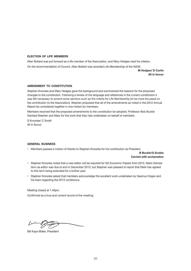### **Election of Life Members**

Allan Bollard was put forward as a life member of the Association, and Mary Hedges read his citation. On the recommendation of Council, Allan Bollard was awarded Life Membership of the NZAE.

> **M Hedges/ D Curtin All in favour**

### **Amendment to Constitution**

Stephen Knowles and Mary Hedges gave the background and summarised the reasons for the proposed changes to the constitution. Following a review of the language and references in the current constitution it was felt necessary to amend some sections such as the criteria for Life Membership (to be more focussed on the contribution to the Association). Stephen proposed that all of the amendments as noted in the 2012 Annual Report be considered together in one motion by members.

Members resolved that the proposed amendments to the constitution be adopted. Professor Bob Buckle thanked Stephen and Mary for the work that they had undertaken on behalf of members.

S Knowles/ C Smith All in favour

### **General Business**

• Members passed a motion of thanks to Stephen Knowles for his contribution as President.

**B Buckle/G Scobie Carried with acclamation**

- Stephen Knowles noted that a new editor will be required for NZ Economic Papers from 2015. Mark Holmes' term as editor was due to end in December 2013, but Stephen was pleased to report that Mark has agreed to this term being extended for a further year.
- Stephen Knowles asked that members acknowledge the excellent work undertaken by Seamus Hogan and his team regarding the 2013 conference.

Meeting closed at 1.40pm.

Confirmed as a true and correct record of the meeting:

Bill Kaye-Blake, President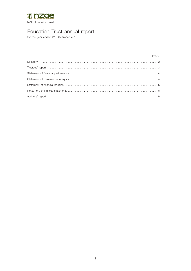

### Education Trust annual report

for the year ended 31 December 2013

### PAGE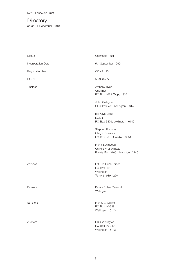NZAE Education Trust

**Directory** as at 31 December 2013

| <b>Status</b>      | Charitable Trust                                                             |
|--------------------|------------------------------------------------------------------------------|
| Incorporation Date | 5th September 1990                                                           |
| Registration No    | CC 41.123                                                                    |
| <b>IRD No</b>      | 55-988-277                                                                   |
| <b>Trustees</b>    | Anthony Byett<br>Chairman<br>PO Box 1673 Taupo 3351                          |
|                    | John Gallagher<br>GPO Box 788 Wellington<br>6140                             |
|                    | <b>Bill Kaye-Blake</b><br><b>NZIER</b><br>PO Box 3479, Wellington 6140       |
|                    | Stephen Knowles<br>Otago University<br>PO Box 56, Dunedin 9054               |
|                    | Frank Scrimgeour<br>University of Waikato<br>Private Bag 3105, Hamilton 3240 |
| <b>Address</b>     | F/1. 97 Cuba Street<br>PO Box 568<br>Wellington<br>Tel (04) 939-4250         |
| <b>Bankers</b>     | Bank of New Zealand<br>Wellington                                            |
| Solicitors         | Franks & Ogilvie<br>PO Box 10-388<br>Wellington 6143                         |
| Auditors           | <b>BDO</b> Wellington<br>PO Box 10-340<br>Wellington 6143                    |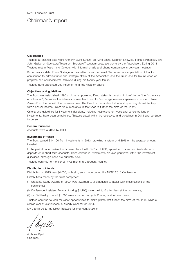### Chairman's report

#### **Governance**

Trustees at balance date were Anthony Byett (Chair), Bill Kaye-Blake, Stephen Knowles, Frank Scrimgeour, and John Gallagher (Secretary/Treasurer). Secretary/Treasurers costs are borne by the Association. During 2013 Trustees met in March and October, with informal emails and phone conversations between meetings.

Since balance date, Frank Scrimgeour has retired from the board. We record our appreciation of Frank's contribution to administrative and strategic affairs of the Association and the Trust, and for his influence on progress and advancements achieved during his twenty year tenure.

Trustees have appointed Leo Krippner to fill the vacancy arising.

### **Objectives and guidelines**

The Trust was established 1990 and the empowering Deed states its mission, in brief, to be "the furtherance of education", "advance the interests of members" and to "encourage overseas speakers to come to New Zealand" for the benefit of economists here. The Deed further states that annual spending should be kept within annual income unless "it is imperative in that year to further the aims of the Trust".

Criteria and guidelines for investment decisions, including restrictions on types and concentrations of investments, have been established. Trustees acted within the objectives and guidelines in 2013 and continue to do so.

#### **General business**

Accounts were audited by BDO.

#### **Investment of funds**

The Trust earned \$14,100 from investments in 2013, providing a return of 5.39% on the average amount invested.

In the period under review funds were placed with BNZ and ASB, spread across various fixed-rate term deposits or in short-term accounts. Bond/debenture investments are also permitted within the investment guidelines, although none are currently held.

Trustees continue to monitor all investments in a prudent manner.

### **Distribution of funds**

Distribution in 2013 was \$4,600, with all grants made during the NZAE 2013 Conference.

Distributions made by the trust comprised:

- (i) Graduate Study Awards of \$500 were awarded to 3 graduates to assist with presentations at the conference;
- (ii) Conference Assistant Awards (totaling \$1,100) were paid to 6 attendees at the conference;

(iii) Jan Whitwell prizes of \$1,000 were awarded to Lydia Cheung and Athene Laws;

Trustees continue to look for wider opportunities to make grants that further the aims of the Trust, while a similar level of distributions is already planned for 2014.

My thanks go to my fellow Trustees for their contributions.

/ hyett.

Anthony Byett Chairman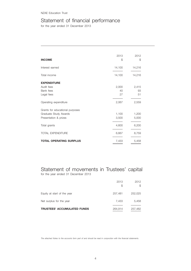NZAE Education Trust

### Statement of financial performance

for the year ended 31 December 2013

| <b>INCOME</b>                   | 2013<br>\$ | 2012<br>\$ |
|---------------------------------|------------|------------|
| Interest earned                 | 14,100     | 14,216     |
| Total income                    | 14,100     | 14,216     |
| <b>EXPENDITURE</b>              |            |            |
| Audit fees                      | 2,000      | 2,415      |
| Bank fees                       | 40         | 93         |
| Legal fees                      | 27         | 51         |
| Operating expenditure           | 2,067      | 2,559      |
| Grants for educational purposes |            |            |
| Graduate Study Awards           | 1,100      | 1,200      |
| Presentation & prizes           | 3,500      | 5,000      |
| Total grants                    | 4,600      | 6,200      |
| <b>TOTAL EXPENDITURE</b>        | 6,667      | 8,759      |
| <b>TOTAL OPERATING SURPLUS</b>  | 7,433      | 5,458      |

Statement of movements in Trustees' capital for the year ended 31 December 2013

|                             | 2013<br>S | 2012<br>S |
|-----------------------------|-----------|-----------|
| Equity at start of the year | 257,481   | 252,025   |
| Net surplus for the year    | 7,433     | 5,458     |
| TRUSTEES' ACCUMULATED FUNDS | 264,914   | 257,482   |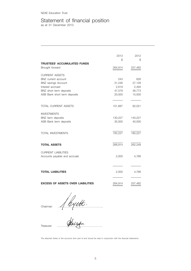NZAE Education Trust

### Statement of financial position

as at 31 December 2013

|                                                             | 2013<br>\$ | 2012<br>\$ |
|-------------------------------------------------------------|------------|------------|
| TRUSTEES' ACCUMULATED FUNDS                                 |            |            |
| Brought forward                                             | 264,914    | 257,482    |
| <b>CURRENT ASSETS</b>                                       |            |            |
| BNZ current account                                         | 243        | 626        |
| <b>BNZ</b> savings Account                                  | 31,246     | 27,128     |
| Interest accrued                                            | 2,619      | 2,494      |
| BNZ short term deposits                                     | 47,579     | 36,773     |
| ASB Bank short term deposits                                | 20,000     | 15,000     |
|                                                             |            |            |
| TOTAL CURRENT ASSETS                                        | 101,687    | 82,021     |
| <b>INVESTMENTS</b>                                          |            |            |
| BNZ term deposits                                           | 130,227    | 140,227    |
| ASB Bank term deposits                                      | 35,000     | 40,000     |
| <b>TOTAL INVESTMENTS</b>                                    | 165,227    | 180,227    |
| <b>TOTAL ASSETS</b>                                         | 266,914    | 262,248    |
| <b>CURRENT LIABILITIES</b><br>Accounts payable and accruals | 2,000      | 4,766      |
|                                                             |            |            |
| <b>TOTAL LIABILITIES</b>                                    | 2,000      | 4,766      |
| <b>EXCESS OF ASSETS OVER LIABILITIES</b>                    | 264,914    | 257,482    |

Chairman  $\frac{1}{2}$  ...  $\frac{1}{2}$  ...  $\frac{1}{2}$  ...  $\frac{1}{2}$ 

Treasurer ..…………………………………………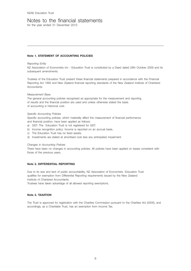### Notes to the financial statements

for the year ended 31 December 2013

### **Note 1. STATEMENT OF ACCOUNTING POLICIES**

#### *Reporting Entity*

NZ Association of Economists Inc - Education Trust is constituted by a Deed dated 28th October 2009 and its subsequent amendments.

Trustees of the Education Trust present these financial statements prepared in accordance with the Financial Reporting Act 1993 and New Zealand financial reporting standards of the New Zealand Institute of Chartered Accountants.

### *Measurement Base*

The general accounting policies recognised as appropriate for the measurement and reporting of results and the financial position are used and unless otherwise stated the basis of accounting is historical cost.

### *Specific Accounting Policies*

Specific accounting policies, which materially affect the measurement of financial performance and financial position, have been applied as follows:

- a) GST: The Education Trust is not registered for GST.
- b) Income recognition policy: Income is reported on an accrual basis.
- c) The Education Trust has no fixed assets.
- d) Investments are stated at amortised cost less any anticipated impairment.

#### *Changes in Accounting Policies*

There have been no changes in accounting policies. All policies have been applied on bases consistent with those of the previous years.

### **Note 2. DIFFERENTIAL REPORTING**

Due to its size and lack of public accountability, NZ Association of Economists -Education Trust qualifies for exemption from Differential Reporting requirements issued by the New Zealand Institute of Chartered Accountants.

Trustees have taken advantage of all allowed reporting exemptions.

### **Note 3. TAXATION**

The Trust is approved for registration with the Charities Commission pursuant to the Charities Act (2005), and accordingly, as a Charitable Trust, has an exemption from Income Tax.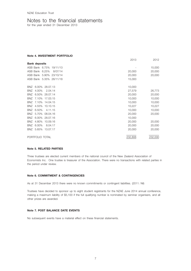### Notes to the financial statements

for the year ended 31 December 2013

**Note 4. INVESTMENT PORTFOLIO** 

|                                 | 2013    | 2012    |
|---------------------------------|---------|---------|
| <b>Bank deposits</b>            |         |         |
| ASB Bank 6.75%<br>19/11/13      |         | 15,000  |
| ASB Bank 6.25%<br>8/07/14       | 20,000  | 20,000  |
| ASB Bank 5.90%<br>23/10/14      | 20,000  | 20,000  |
| ASB Bank 5.35% 26/11/18         | 15,000  |         |
|                                 |         |         |
| 6.00% 28.07.13<br>BNZ           | 10,000  |         |
| 4.00%<br>2.04.14<br>BNZ         | 27,579  | 26,773  |
| <b>BNZ</b><br>6.50%<br>28.07.14 | 20,000  | 20,000  |
| 7.10%<br>17.03.15<br>BNZ        | 10,000  | 10,000  |
| BNZ 7.10%<br>14.04.15           | 10,000  | 10,000  |
| 4.55%<br>10.10.15<br>BNZ        | 10,227  | 10,227  |
| BNZ<br>6.50%<br>4.11.15         | 10,000  | 10,000  |
| 5.70%<br><b>BNZ</b><br>08.04.16 | 20,000  | 20,000  |
| BNZ<br>6.00%<br>28.07.16        | 10,000  |         |
| 4.80%<br>10.09.16<br>BNZ        | 20,000  | 20,000  |
| <b>BNZ</b><br>6.00%<br>8.04.17  | 20,000  | 20,000  |
| <b>BNZ</b><br>5.65%<br>13.07.17 | 20,000  | 20,000  |
|                                 |         |         |
| PORTFOLIO TOTAL                 | 232,806 | 232,000 |

### **Note 5. RELATED PARTIES**

Three trustees are elected current members of the national council of the New Zealand Association of Economists Inc. One trustee is treasurer of the Association. There were no transactions with related parties in the period under review.

### **Note 6. COMMITMENT & CONTINGENCIES**

As at 31 December 2013 there were no known commitments or contingent liabilities. (2011: Nil)

Trustees have decided to sponsor up to eight student registrants for the NZAE June 2014 annual conference, making a maximum liability of \$5,100 if the full qualifying number is nominated by seminar organisers, and all other prizes are awarded.

### **Note 7. POST BALANCE DATE EVENTS**

No subsequent events have a material effect on these financial statements.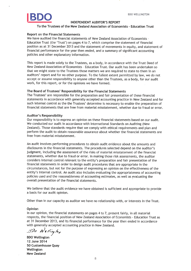### **INDEPENDENT AUDITOR'S REPORT**

### To the Trustees of the New Zealand Association of Economists - Education Trust

### **Report on the Financial Statements**

We have audited the financial statements of New Zealand Association of Economists -Education Trust (the 'Trust') on pages 4 to 7, which comprise the statement of financial position as at 31 December 2013 and the statement of movements in equity, and statement of financial performance for the year then ended, and a summary of significant accounting policies and other explanatory information.

This report is made solely to the Trustees, as a body, in accordance with the Trust Deed of New Zealand Association of Economists - Education Trust, Our audit has been undertaken so that we might state to the Trustees those matters we are required to state to them in an auditors' report and for no other purpose. To the fullest extent permitted by law, we do not accept or assume responsibility to anyone other than the Trustees, as a body, for our audit work, for this report, or for the opinions we have formed.

### The Board of Trustees' Responsibility for the Financial Statements

The Trustees' are responsible for the preparation and fair presentation of these financial statements in accordance with generally accepted accounting practice in New Zealand and for such internal control as the the Trustees' determine is necessary to enable the preparation of financial statements that are free from material misstatement, whether due to fraud or error.

### Auditor's Responsibility

Our responsibility is to express an opinion on these financial statements based on our audit. We conducted our audit in accordance with International Standards on Auditing (New Zealand). Those standards require that we comply with ethical requirements and plan and perform the audit to obtain reasonable assurance about whether the financial statements are free from material misstatement.

An audit involves performing procedures to obtain audit evidence about the amounts and disclosures in the financial statements. The procedures selected depend on the auditor's judgment, including the assessment of the risks of material misstatement of the financial statements, whether due to fraud or error. In making those risk assessments, the auditor considers internal control relevant to the entity's preparation and fair presentation of the financial statements in order to design audit procedures that are appropriate in the circumstances, but not for the purpose of expressing an opinion on the effectiveness of the entity's internal control. An audit also includes evaluating the appropriateness of accounting policies used and the reasonableness of accounting estimates, as well as evaluating the overall presentation of the financial statements.

We believe that the audit evidence we have obtained is sufficient and appropriate to provide a basis for our audit opinion.

Other than in our capacity as auditor we have no relationship with, or interests in the Trust.

### Opinion

In our opinion, the financial statements on pages 4 to 7, present fairly, in all material respects, the financial position of New Zealand Association of Economists - Education Trust as at 31 December 2013, and its financial performance for the year then ended in accordance with generally accepted accounting practice in New Zealand.

BDO Wellington

**BDO Wellington** 12 June 2014 50 Customhouse Quay Wellington **New Zealand**